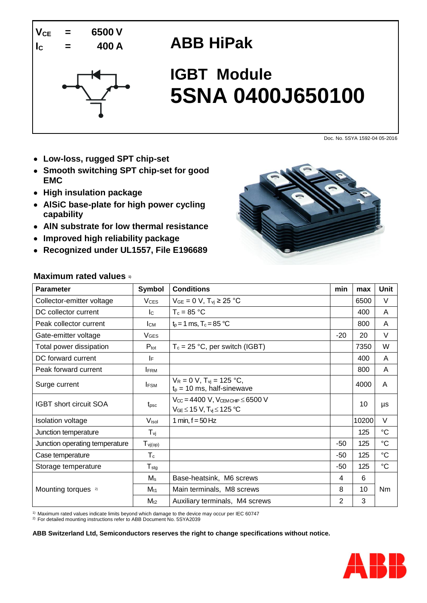

## **ABB HiPak**



# **IGBT Module 5SNA 0400J650100**

Doc. No. 5SYA 1592-04 05-2016

- **Low-loss, rugged SPT chip-set**
- **Smooth switching SPT chip-set for good EMC**
- **High insulation package**
- **AlSiC base-plate for high power cycling capability**
- **AlN substrate for low thermal resistance**
- **Improved high reliability package**
- **Recognized under UL1557, File E196689**



#### **Maximum rated values 1)**

| <b>Parameter</b>               | <b>Symbol</b>           | <b>Conditions</b>                                                                             |       | max   | Unit            |
|--------------------------------|-------------------------|-----------------------------------------------------------------------------------------------|-------|-------|-----------------|
| Collector-emitter voltage      | <b>V<sub>CES</sub></b>  | $V_{GE} = 0 V$ , $T_{vi} \ge 25 °C$                                                           |       | 6500  | V               |
| DC collector current           | lc.                     | $T_c = 85 °C$                                                                                 |       | 400   | A               |
| Peak collector current         | Iсм                     | $t_p = 1$ ms, $T_c = 85 °C$                                                                   |       | 800   | A               |
| Gate-emitter voltage           | <b>VGES</b>             |                                                                                               | $-20$ | 20    | V               |
| Total power dissipation        | $P_{\text{tot}}$        | $T_c = 25 °C$ , per switch (IGBT)                                                             |       | 7350  | W               |
| DC forward current             | IF.                     |                                                                                               |       | 400   | A               |
| Peak forward current           | <b>IFRM</b>             |                                                                                               |       | 800   | A               |
| Surge current                  | <b>IFSM</b>             | $V_R = 0 V$ , $T_{vi} = 125 °C$ ,<br>$t_p = 10$ ms, half-sinewave                             |       | 4000  | A               |
| <b>IGBT</b> short circuit SOA  | t <sub>psc</sub>        | $V_{CC} = 4400 V$ , $V_{CEMCHIP} \leq 6500 V$<br>$V_{GE}$ $\leq$ 15 V, $T_{yi}$ $\leq$ 125 °C |       | 10    | μs              |
| <b>Isolation voltage</b>       | Visol                   | 1 min, $f = 50$ Hz                                                                            |       | 10200 | V               |
| Junction temperature           | $T_{\nu j}$             |                                                                                               |       | 125   | $\rm ^{\circ}C$ |
| Junction operating temperature | $T_{\text{vj(op)}}$     |                                                                                               | $-50$ | 125   | $\rm ^{\circ}C$ |
| Case temperature               | $\mathsf T_{\mathsf c}$ |                                                                                               | $-50$ | 125   | $^{\circ}C$     |
| Storage temperature            | $T_{\text{stg}}$        |                                                                                               | $-50$ | 125   | $^{\circ}C$     |
|                                | $M_s$                   | Base-heatsink, M6 screws                                                                      | 4     | 6     |                 |
| Mounting torques <sup>2)</sup> | $M_{t1}$                | Main terminals, M8 screws                                                                     | 8     | 10    | <b>Nm</b>       |
|                                | $M_{t2}$                | Auxiliary terminals, M4 screws                                                                | 2     | 3     |                 |

<sup>1)</sup> Maximum rated values indicate limits beyond which damage to the device may occur per IEC 60747

<sup>2)</sup> For detailed mounting instructions refer to ABB Document No. 5SYA2039

**ABB Switzerland Ltd, Semiconductors reserves the right to change specifications without notice.**

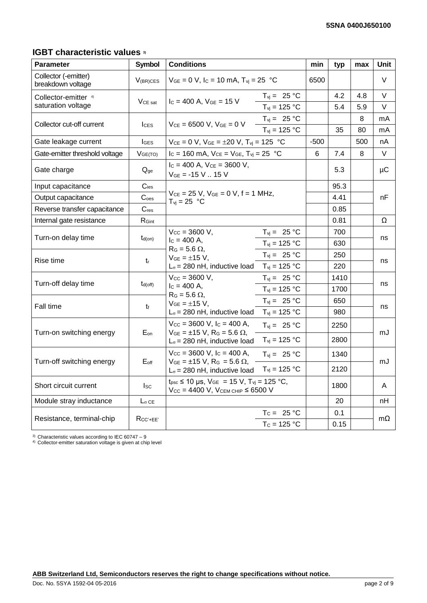## **IGBT characteristic values 3)**

| <b>Parameter</b>                          | <b>Symbol</b>       | <b>Conditions</b>                                                                                                                                                               |                                                      |        | typ  | max     | Unit      |
|-------------------------------------------|---------------------|---------------------------------------------------------------------------------------------------------------------------------------------------------------------------------|------------------------------------------------------|--------|------|---------|-----------|
| Collector (-emitter)<br>breakdown voltage | $V_{(BR)CES}$       | $V_{GE} = 0$ V, Ic = 10 mA, $T_{vj} = 25$ °C                                                                                                                                    |                                                      | 6500   |      |         | V         |
| Collector-emitter 4)                      | V <sub>CE</sub> sat | $I_c = 400$ A, $V_{GE} = 15$ V                                                                                                                                                  | $T_{vi} = 25 °C$                                     |        | 4.2  | 4.8     | V         |
| saturation voltage                        |                     |                                                                                                                                                                                 | $T_{vi}$ = 125 °C                                    |        | 5.4  | 5.9     | V         |
| Collector cut-off current                 | $_{\text{LES}}$     | $V_{CE} = 6500 V, V_{GE} = 0 V$                                                                                                                                                 | $T_{\text{vj}} = 25 \text{ °C}$<br>$T_{vi}$ = 125 °C |        | 35   | 8<br>80 | mA<br>mA  |
| Gate leakage current                      | $I_{GES}$           | $V_{CE} = 0$ V, $V_{GE} = \pm 20$ V, $T_{vi} = 125$ °C                                                                                                                          |                                                      | $-500$ |      | 500     | nA        |
| Gate-emitter threshold voltage            | V <sub>GE(TO)</sub> | $I_c = 160$ mA, $V_{CE} = V_{GE}$ , $T_{vi} = 25$ °C                                                                                                                            |                                                      | 6      | 7.4  | 8       | V         |
| Gate charge                               | $Q_{ge}$            | $I_c = 400$ A, $V_{ce} = 3600$ V,<br>$V_{GE}$ = -15 V  15 V                                                                                                                     |                                                      |        | 5.3  |         | μC        |
| Input capacitance                         | $C_{\text{ies}}$    |                                                                                                                                                                                 |                                                      |        | 95.3 |         |           |
| Output capacitance                        | $C_{\text{oes}}$    | $V_{CE} = 25 V$ , $V_{GE} = 0 V$ , $f = 1 MHz$ ,<br>$T_{vi} = 25 °C$                                                                                                            |                                                      |        | 4.41 |         | nF        |
| Reverse transfer capacitance              | $C_{res}$           |                                                                                                                                                                                 |                                                      |        | 0.85 |         |           |
| Internal gate resistance                  | R <sub>Gint</sub>   |                                                                                                                                                                                 |                                                      |        | 0.81 |         | Ω         |
| Turn-on delay time                        |                     | $V_{CC} = 3600 V$ ,<br>$I_c = 400$ A,<br>$R_G$ = 5.6 $\Omega$ ,                                                                                                                 | $T_{vi} = 25 °C$                                     |        | 700  |         | ns        |
|                                           | $t_{d(on)}$         |                                                                                                                                                                                 | $T_{\text{vj}} = 125 \text{ °C}$                     |        | 630  |         |           |
| Rise time                                 | tr                  | $V_{GE} = \pm 15$ V,                                                                                                                                                            | $T_{vi} = 25 °C$                                     |        | 250  |         | ns        |
|                                           |                     | $L_{\sigma}$ = 280 nH, inductive load                                                                                                                                           | $T_{\rm vj} = 125 \,^{\circ}\text{C}$                |        | 220  |         |           |
| Turn-off delay time                       | $t_{d(off)}$        | $V_{CC} = 3600 V,$<br>$T_{\text{vj}} = 25 \text{ °C}$                                                                                                                           |                                                      | 1410   |      | ns      |           |
|                                           |                     | $I_c = 400 A$ ,<br>$R_G = 5.6 \Omega$ ,                                                                                                                                         | $T_{vi}$ = 125 °C                                    |        | 1700 |         |           |
| Fall time                                 | t                   | $V_{GE} = \pm 15 V,$                                                                                                                                                            | $T_{vi} = 25 °C$                                     |        | 650  |         | ns        |
|                                           |                     | $L_{\sigma}$ = 280 nH, inductive load                                                                                                                                           | $T_{\text{vj}} = 125 \text{ °C}$                     |        | 980  |         |           |
| Turn-on switching energy                  |                     | $V_{\text{CC}} = 3600 \text{ V}, l_{\text{C}} = 400 \text{ A},$                                                                                                                 | $T_{\text{vj}} = 25 \text{ °C}$                      |        | 2250 |         | mJ        |
|                                           | $E_{on}$            | $V_{GE} = \pm 15$ V, R <sub>G</sub> = 5.6 $\Omega$ ,<br>$L_{\sigma}$ = 280 nH, inductive load                                                                                   | $T_{vi}$ = 125 °C                                    |        | 2800 |         |           |
| Turn-off switching energy                 | $E_{\text{off}}$    | $V_{\text{CC}} = 3600 \text{ V}$ , $I_{\text{C}} = 400 \text{ A}$ ,<br>$V_{GE} = \pm 15$ V, R <sub>G</sub> = 5.6 $\Omega$ ,                                                     | $T_{\text{vj}} = 25 \text{ °C}$                      |        | 1340 |         | mJ        |
|                                           |                     | $T_{vi}$ = 125 °C<br>$L_{\sigma}$ = 280 nH, inductive load                                                                                                                      |                                                      |        | 2120 |         |           |
| Short circuit current                     | $I_{SC}$            | $t_{\text{psc}} \le 10 \text{ }\mu\text{s}, \text{V}_{\text{GE}} = 15 \text{ V}, T_{\text{vi}} = 125 \text{ }^{\circ}\text{C},$<br>$V_{CC} = 4400$ V, $V_{CEM CHIP} \le 6500$ V |                                                      |        | 1800 |         | A         |
| Module stray inductance                   | $L_{\sigma}$ CE     |                                                                                                                                                                                 |                                                      |        | 20   |         | nH        |
|                                           |                     |                                                                                                                                                                                 | $T_c = 25 °C$                                        |        | 0.1  |         | $m\Omega$ |
| Resistance, terminal-chip                 | $R_{CC' + EE'}$     | $T_c = 125 °C$                                                                                                                                                                  |                                                      |        | 0.15 |         |           |

 $3)$  Characteristic values according to IEC 60747 - 9

<sup>4)</sup> Collector-emitter saturation voltage is given at chip level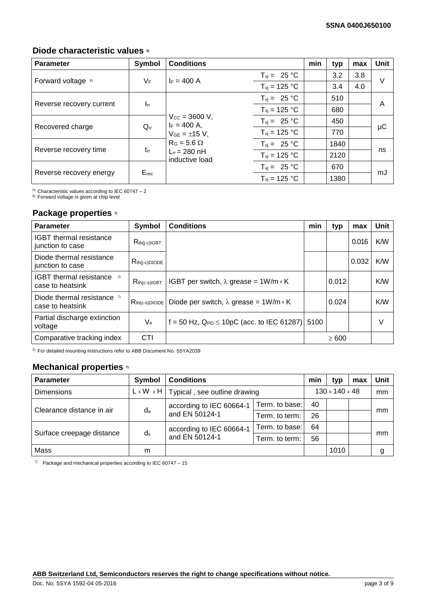#### **Diode characteristic values 5)**

| <b>Parameter</b>              | Symbol                | <b>Conditions</b>                                                                                                                                                                                                                                                                                                                                                                                       |                                 | min  | typ  | max | <b>Unit</b> |
|-------------------------------|-----------------------|---------------------------------------------------------------------------------------------------------------------------------------------------------------------------------------------------------------------------------------------------------------------------------------------------------------------------------------------------------------------------------------------------------|---------------------------------|------|------|-----|-------------|
|                               | $V_F$                 | $I_F = 400 A$                                                                                                                                                                                                                                                                                                                                                                                           | $T_{\text{vj}} = 25 \text{ °C}$ |      | 3.2  | 3.8 | $\vee$      |
| Forward voltage <sup>6)</sup> |                       |                                                                                                                                                                                                                                                                                                                                                                                                         | $T_{\text{vi}}$ = 125 °C        |      | 3.4  | 4.0 |             |
|                               |                       |                                                                                                                                                                                                                                                                                                                                                                                                         | $T_{\text{vj}} = 25 \text{ °C}$ |      | 510  |     | A           |
| Reverse recovery current      |                       | $\mathbf{I}_{\text{rr}}$<br>$T_{\text{vj}}$ = 125 °C<br>$V_{\rm CC} = 3600 \text{ V}$ ,<br>$T_{vi} = 25 °C$<br>$I_F = 400$ A,<br>$Q_{rr}$<br>$T_{\text{vi}}$ = 125 °C<br>$V_{GE} = \pm 15$ V,<br>$R_G = 5.6 \Omega$<br>$T_{\text{vj}} = 25 \text{ °C}$<br>$t_{rr}$<br>$L_{\sigma}$ = 280 nH<br>$T_{vi}$ = 125 °C<br>inductive load<br>$T_{\text{vj}} = 25 \text{ °C}$<br>$E_{rec}$<br>$T_{vi}$ = 125 °C |                                 |      | 680  |     |             |
|                               |                       |                                                                                                                                                                                                                                                                                                                                                                                                         |                                 |      | 450  |     | μC          |
| Recovered charge              |                       |                                                                                                                                                                                                                                                                                                                                                                                                         |                                 |      | 770  |     |             |
|                               | Reverse recovery time |                                                                                                                                                                                                                                                                                                                                                                                                         |                                 |      | 1840 |     | ns          |
|                               |                       |                                                                                                                                                                                                                                                                                                                                                                                                         |                                 |      | 2120 |     |             |
|                               |                       |                                                                                                                                                                                                                                                                                                                                                                                                         |                                 |      | 670  |     |             |
| Reverse recovery energy       |                       |                                                                                                                                                                                                                                                                                                                                                                                                         |                                 | 1380 |      | mJ  |             |

<sup>5)</sup> Characteristic values according to IEC 60747 - 2

6) Forward voltage is given at chip level

### **Package properties 7)**

| <b>Parameter</b>                                         | Symbol                    | <b>Conditions</b>                                | min  | typ        | max   | Unit   |
|----------------------------------------------------------|---------------------------|--------------------------------------------------|------|------------|-------|--------|
| <b>IGBT</b> thermal resistance<br>junction to case       | $R_{th(j-c)IGBT}$         |                                                  |      |            | 0.016 | K/W    |
| Diode thermal resistance<br>junction to case             | $R_{th(j-c)DIODE}$        |                                                  |      |            | 0.032 | K/W    |
| <b>IGBT</b> thermal resistance<br>2)<br>case to heatsink | $R_{th(c-s)IGBT}$         | IGBT per switch, $\lambda$ grease = 1W/m × K     |      | 0.012      |       | K/W    |
| Diode thermal resistance $\eta$<br>case to heatsink      | $R_{th(c-s)DIODE}$        | Diode per switch, $\lambda$ grease = 1W/m × K    |      | 0.024      |       | K/W    |
| Partial discharge extinction<br>voltage                  | $\mathsf{V}_{\mathsf{e}}$ | f = 50 Hz, $Q_{PD} \le 10pC$ (acc. to IEC 61287) | 5100 |            |       | $\vee$ |
| Comparative tracking index                               | <b>CTI</b>                |                                                  |      | $\geq 600$ |       |        |

2) For detailed mounting instructions refer to ABB Document No. 5SYA2039

## **Mechanical properties 7)**

| <b>Parameter</b>          | Symbol | <b>Conditions</b>                                    |                | min                        | typ  | max | Unit |
|---------------------------|--------|------------------------------------------------------|----------------|----------------------------|------|-----|------|
| <b>Dimensions</b>         |        | $L \times W \times H$   Typical, see outline drawing |                | $130 \times 140 \times 48$ |      | mm  |      |
| Clearance distance in air | da     | according to IEC 60664-1<br>and EN 50124-1           | Term, to base: | 40                         |      |     |      |
|                           |        |                                                      | Term, to term: | 26                         |      |     | mm   |
|                           |        | according to IEC 60664-1                             | Term. to base: | 64                         |      |     |      |
| Surface creepage distance | $d_s$  | and EN 50124-1                                       | Term. to term: | 56                         |      |     | mm   |
| Mass                      | m      |                                                      |                |                            | 1010 |     | g    |

 $7$  Package and mechanical properties according to IEC 60747 - 15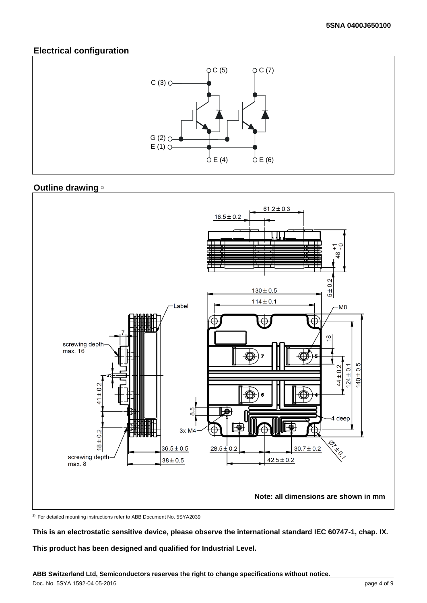#### **Electrical configuration**



#### **Outline drawing** 2)



<sup>2)</sup> For detailed mounting instructions refer to ABB Document No. 5SYA2039

**This is an electrostatic sensitive device, please observe the international standard IEC 60747-1, chap. IX.**

**This product has been designed and qualified for Industrial Level.**

**ABB Switzerland Ltd, Semiconductors reserves the right to change specifications without notice.**

Doc. No. 5SYA 1592-04 05-2016 page 4 of 9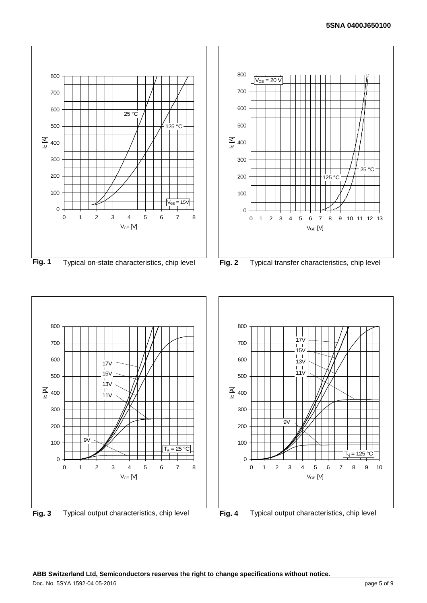

**Fig. 1** Typical on-state characteristics, chip level **Fig. 2** Typical transfer characteristics, chip level





**Fig. 3** Typical output characteristics, chip level **Fig. 4** Typical output characteristics, chip level

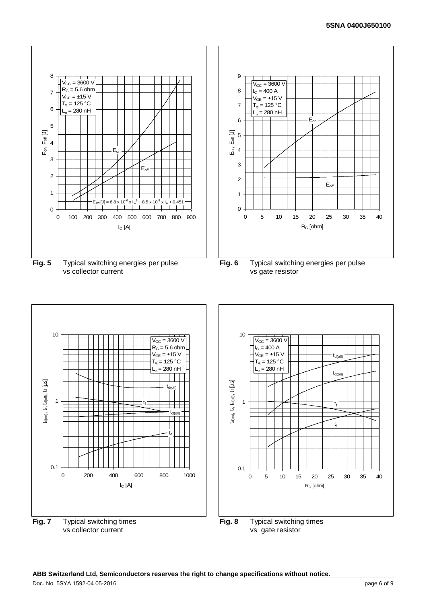#### **5SNA 0400J650100**



10  $V_{\text{CC}} = 3600 \text{ V}$  $R_G = 5.6$  ohm  $V_{GE} = \pm 15$  V  $T_{vi}$  = 125 °C  $= 280$  nH id(on), tr, td(off), tr [µS]  $t_{\sf d(on)},\ t_{\sf r},\ t_{\sf d(off)},\ t_{\sf f}\ [\mu{\sf s}]$  $t_{d(off)}$ 1 tf  $t_{d(on)}$ tr 0.1 0 200 400 600 800 1000  $I_C[A]$ **Fig. 7** Typical switching times

vs collector current





**Fig. 8** Typical switching times vs gate resistor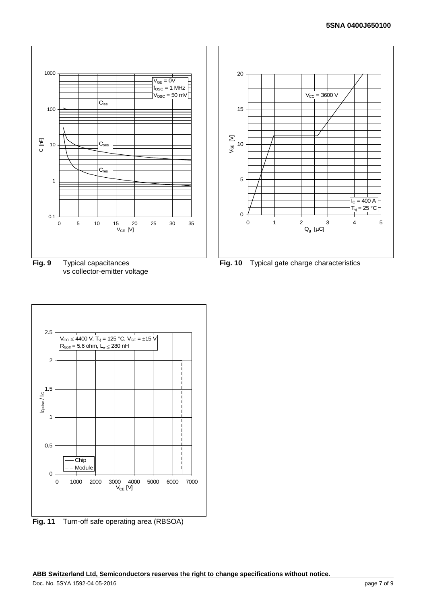

**Fig. 9** Typical capacitances vs collector-emitter voltage

![](_page_6_Figure_3.jpeg)

**Fig. 11** Turn-off safe operating area (RBSOA)

![](_page_6_Figure_5.jpeg)

**Fig. 10** Typical gate charge characteristics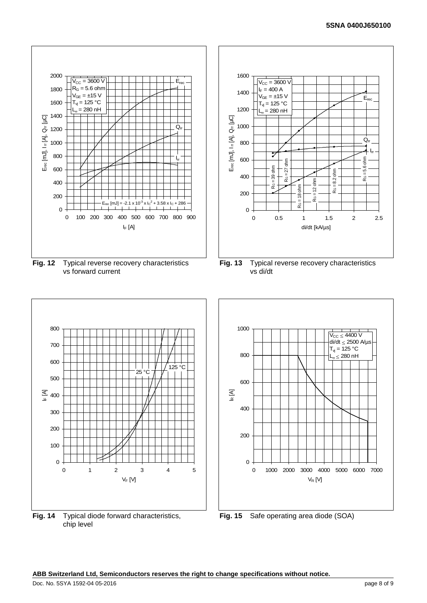#### **5SNA 0400J650100**

![](_page_7_Figure_1.jpeg)

![](_page_7_Figure_2.jpeg)

![](_page_7_Figure_3.jpeg)

![](_page_7_Figure_4.jpeg)

**ABB Switzerland Ltd, Semiconductors reserves the right to change specifications without notice.**